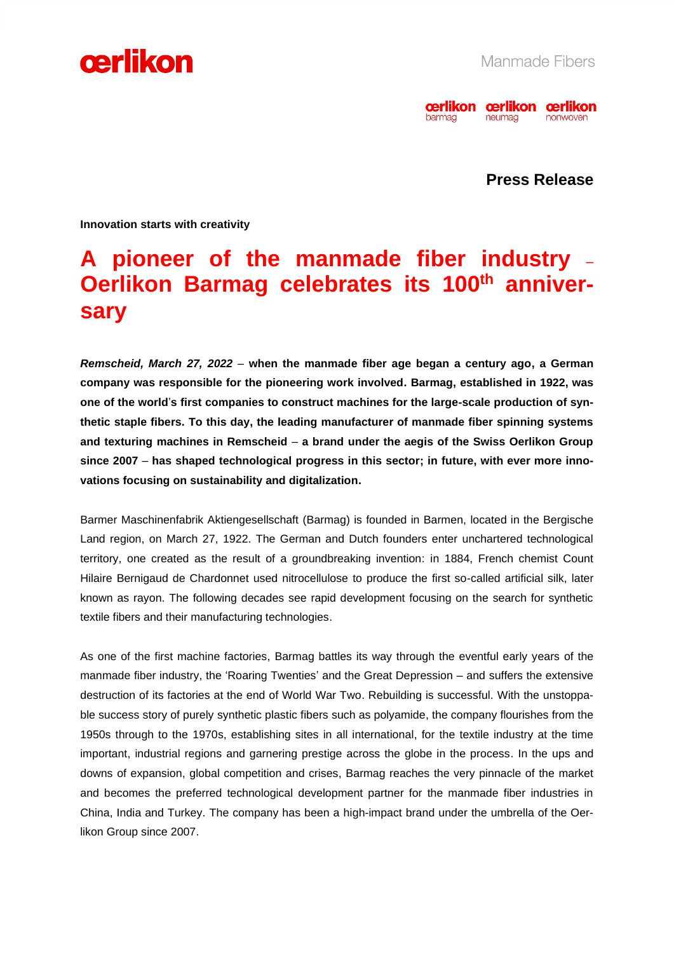



**Press Release**

**Innovation starts with creativity**

### **A pioneer of the manmade fiber industry** – **Oerlikon Barmag celebrates its 100th anniversary**

*Remscheid, March 27, 2022* – **when the manmade fiber age began a century ago, a German company was responsible for the pioneering work involved. Barmag, established in 1922, was one of the world**'**s first companies to construct machines for the large-scale production of synthetic staple fibers. To this day, the leading manufacturer of manmade fiber spinning systems and texturing machines in Remscheid** – **a brand under the aegis of the Swiss Oerlikon Group since 2007** – **has shaped technological progress in this sector; in future, with ever more innovations focusing on sustainability and digitalization.** 

Barmer Maschinenfabrik Aktiengesellschaft (Barmag) is founded in Barmen, located in the Bergische Land region, on March 27, 1922. The German and Dutch founders enter unchartered technological territory, one created as the result of a groundbreaking invention: in 1884, French chemist Count Hilaire Bernigaud de Chardonnet used nitrocellulose to produce the first so-called artificial silk, later known as rayon. The following decades see rapid development focusing on the search for synthetic textile fibers and their manufacturing technologies.

As one of the first machine factories, Barmag battles its way through the eventful early years of the manmade fiber industry, the 'Roaring Twenties' and the Great Depression – and suffers the extensive destruction of its factories at the end of World War Two. Rebuilding is successful. With the unstoppable success story of purely synthetic plastic fibers such as polyamide, the company flourishes from the 1950s through to the 1970s, establishing sites in all international, for the textile industry at the time important, industrial regions and garnering prestige across the globe in the process. In the ups and downs of expansion, global competition and crises, Barmag reaches the very pinnacle of the market and becomes the preferred technological development partner for the manmade fiber industries in China, India and Turkey. The company has been a high-impact brand under the umbrella of the Oerlikon Group since 2007.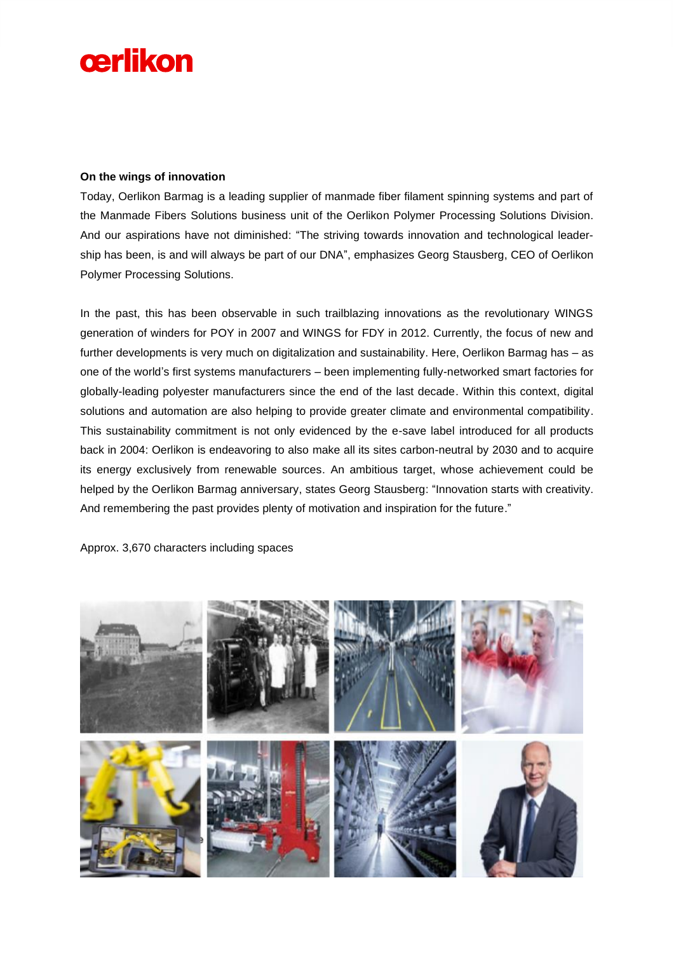# cerlikon

#### **On the wings of innovation**

Today, Oerlikon Barmag is a leading supplier of manmade fiber filament spinning systems and part of the Manmade Fibers Solutions business unit of the Oerlikon Polymer Processing Solutions Division. And our aspirations have not diminished: "The striving towards innovation and technological leadership has been, is and will always be part of our DNA", emphasizes Georg Stausberg, CEO of Oerlikon Polymer Processing Solutions.

In the past, this has been observable in such trailblazing innovations as the revolutionary WINGS generation of winders for POY in 2007 and WINGS for FDY in 2012. Currently, the focus of new and further developments is very much on digitalization and sustainability. Here, Oerlikon Barmag has – as one of the world's first systems manufacturers – been implementing fully-networked smart factories for globally-leading polyester manufacturers since the end of the last decade. Within this context, digital solutions and automation are also helping to provide greater climate and environmental compatibility. This sustainability commitment is not only evidenced by the e-save label introduced for all products back in 2004: Oerlikon is endeavoring to also make all its sites carbon-neutral by 2030 and to acquire its energy exclusively from renewable sources. An ambitious target, whose achievement could be helped by the Oerlikon Barmag anniversary, states Georg Stausberg: "Innovation starts with creativity. And remembering the past provides plenty of motivation and inspiration for the future."

Approx. 3,670 characters including spaces

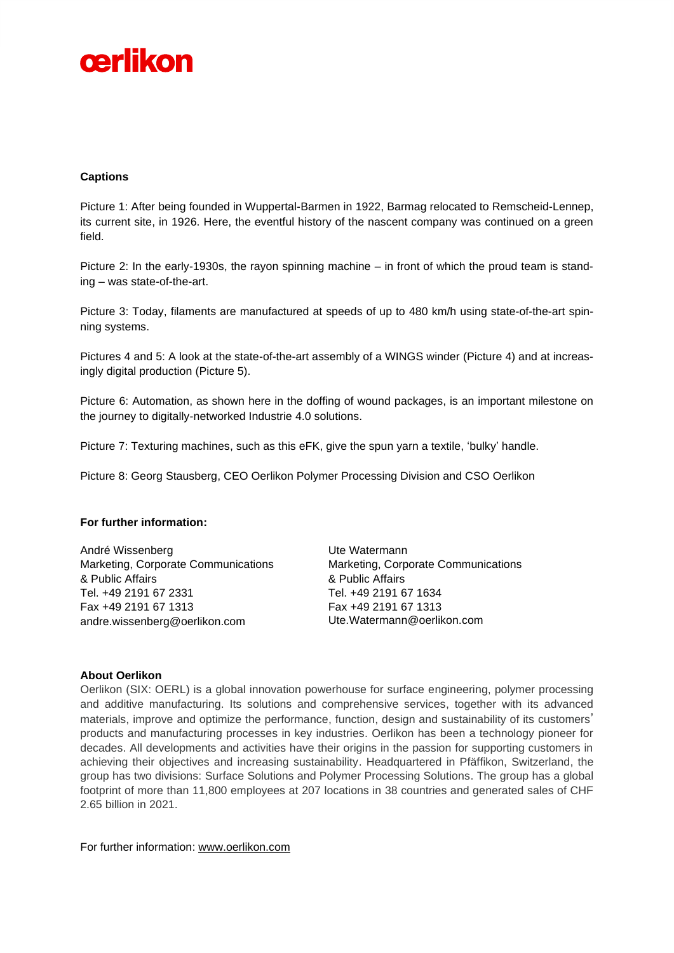

#### **Captions**

Picture 1: After being founded in Wuppertal-Barmen in 1922, Barmag relocated to Remscheid-Lennep, its current site, in 1926. Here, the eventful history of the nascent company was continued on a green field.

Picture 2: In the early-1930s, the rayon spinning machine – in front of which the proud team is standing – was state-of-the-art.

Picture 3: Today, filaments are manufactured at speeds of up to 480 km/h using state-of-the-art spinning systems.

Pictures 4 and 5: A look at the state-of-the-art assembly of a WINGS winder (Picture 4) and at increasingly digital production (Picture 5).

Picture 6: Automation, as shown here in the doffing of wound packages, is an important milestone on the journey to digitally-networked Industrie 4.0 solutions.

Picture 7: Texturing machines, such as this eFK, give the spun yarn a textile, 'bulky' handle.

Picture 8: Georg Stausberg, CEO Oerlikon Polymer Processing Division and CSO Oerlikon

#### **For further information:**

André Wissenberg Marketing, Corporate Communications & Public Affairs Tel. +49 2191 67 2331 Fax +49 2191 67 1313 andre.wissenberg@oerlikon.com

Ute Watermann Marketing, Corporate Communications & Public Affairs Tel. +49 2191 67 1634 Fax +49 2191 67 1313 Ute.Watermann@oerlikon.com

#### **About Oerlikon**

Oerlikon (SIX: OERL) is a global innovation powerhouse for surface engineering, polymer processing and additive manufacturing. Its solutions and comprehensive services, together with its advanced materials, improve and optimize the performance, function, design and sustainability of its customers' products and manufacturing processes in key industries. Oerlikon has been a technology pioneer for decades. All developments and activities have their origins in the passion for supporting customers in achieving their objectives and increasing sustainability. Headquartered in Pfäffikon, Switzerland, the group has two divisions: Surface Solutions and Polymer Processing Solutions. The group has a global footprint of more than 11,800 employees at 207 locations in 38 countries and generated sales of CHF 2.65 billion in 2021.

For further information: [www.oerlikon.com](http://www.oerlikon.com/)